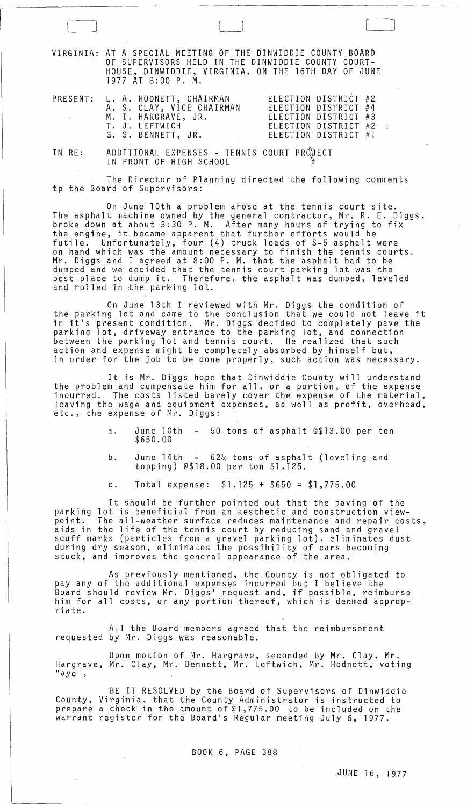Cl LJJ VIRGINIA: AT A SPECIAL MEETING OF THE DINWIDDIE COUNTY BOARD OF SUPERVISORS HELD IN THE DINWIDDIE COUNTY COURT-HOUSE, DINWIDDIE, VIRGINIA, ON THE 16TH DAY OF JUNE 1977 AT 8:00 P. M. PRESENT: L. A. HODNETT, CHAIRMAN A. S. CLAY, VICE CHAIRMAN M. I. HARGRAVE, JR. ELECTION DISTRICT #2 ELECTION DISTRICT #4 ELECTION DISTRICT #3

T. J. LEFTWICH

G. S. BENNETT, JR.

ELECTION DISTRICT #2<br>ELECTION DISTRICT #1

J

IN RE: ADDITIONAL EXPENSES - TENNIS COURT PROJECT IN FRONT OF HIGH SCHOOL

The Director of Planning directed the following comments tp the Board of Supervisors:

On June 10th a problem arose at the tennis court site. The asphalt machine owned by the general contractor, Mr. R. E. Diggs, broke down at about 3:30 P. M. After many hours of trying to fix the engine, it became apparent that further efforts would be<br>futile. Unfortunately, four (4) truck loads of S-5 asphalt Unfortunately, four  $(4)$  truck loads of S-5 asphalt were on hand which was the amount necessary to finish the tennis courts. Mr. Diggs and I agreed at 8:00 P. M. that the asphalt had to be dumped and we decided that the tennis court parking lot was the best place to dump it. Therefore, the asphalt was dumped, leveled and rolled in the parking lot.

On June 13th I reviewed with Mr. Diggs the condition of the parking lot and came to the conclusion that we could not leave it in it's present condition. Mr. Diggs decided to completely pave the parking lot, driveway entrance to the parking lot, and connection between the parking lot and tennis court. He realized that such action and expense might be completely absorbed by himself but, in order for the job to be done properly, such action was necessary.

It is Mr. Diggs hope that Dinwiddie County will understand<br>the problem and compensate him for all, or a portion, of the expense incurred. The costs listed barely cover the expense of the material, leaving the wage and equipment expenses, as well as profit, overhead, etc., the expense of Mr. Diggs:

> a. June 10th 50 tons of asphalt @\$13.00 per ton \$650.00

b. June  $14th$  -  $62\frac{1}{4}$  tons of asphalt (leveling and topping) @\$18.00 per ton \$1,125.

c. Total expense: \$1,125 + \$650 = \$1,775.00

It should be further pointed out that the paving of the parking lot is beneficial from an aesthetic and construction viewpoint. The all-weather surface reduces maintenance and repair costs,<br>aids in the life of the tennis court by reducing sand and gravel scuff marks (particles from a gravel parking lot), eliminates dust during dry season, eliminates the possibility of cars becoming stuck, and improves the general appearance of the area.

As previously mentioned, the County is not obligated to pay any of the additional expenses incurred but I believe the Board should review Mr. Diggs' request and, if possible, reimburse him for all costs, or any portion thereof, which is deemed appropri ate.

All the Board members agreed that the reimbursement requested by Mr. Diggs was reasonable.

Upon motion of Mr. Hargrave, seconded by Mr. Clay, Mr. Hargrave, Mr. Clay, Mr. Bennett, Mr. Leftwich, Mr. Hodnett, voting<br>"ave".

BE IT RESOLVED by the Board of Supervisors of Dinwiddie County, Virginia, that the County Administrator is instructed to prepare a check in the amount of \$1,775.00 to be included on the propers a shock in one amount of physics, so be included on the partner.

BOOK 6, PAGE 388

 $\sigma$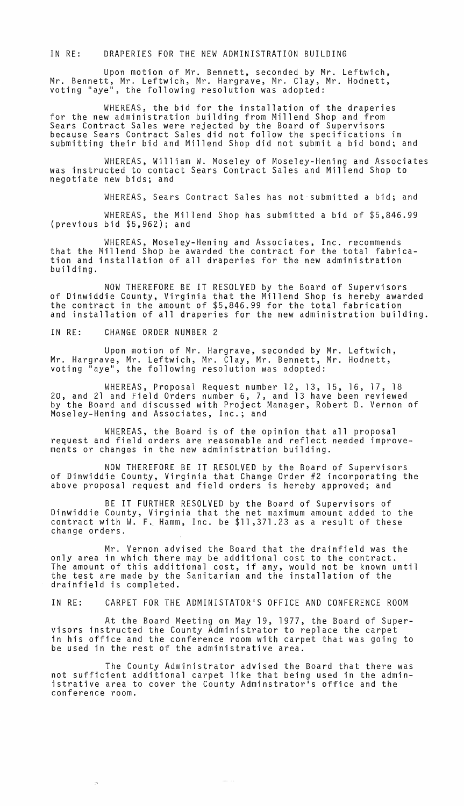## IN RE: DRAPERIES FOR THE NEW ADMINISTRATION BUILDING

Upon motion of Mr. Bennett, seconded by Mr. Leftwich, Mr. Bennett, Mr. Leftwich, Mr. Hargrave, Mr. Clay, Mr. Hodnett, voting "aye", the following resolution was adopted:

WHEREAS, the bid for the installation of the draperies<br>for the new administration building from Millend Shop and from<br>Sears Contract Sales were rejected by the Board of Supervisors because Sears Contract Sales did not follow the specifications in submitting their bid and Mi11end Shop did not submit a bid bond; and

WHEREAS, William W. Moseley of Moseley-Hening and Associates was instructed to contact Sears Contract Sales and Mi11end Shop to negotiate new bids; and

WHEREAS, Sears Contract Sales has not submitted a bid; and

WHEREAS, the Mi11end Shop has submitted a bid of \$5,846.99 (previous bid \$5,962); and

WHEREAS, Mose1ey-Hening and Associates, Inc. recommends that the Mi11end Shop be awarded the contract for the total fabrication and installation of all draperies for the new administration building.

NOW THEREFORE BE IT RESOLVED by the Board of Supervisors of Dinwiddie County, Virginia that the Mil1end Shop is hereby awarded the contract in the amount of \$5,846.99 for the total fabrication and installation of all draperies for the new administration building.

IN RE: CHANGE ORDER NUMBER 2

 $\sim 100$ 

Upon motion of Mr. Hargrave, seconded by Mr. Leftwich, Mr. Hargrave, Mr. Leftwich, Mr. Clay, Mr. Bennett, Mr. Hodnett, voting "aye", the following resolution was adopted:

WHEREAS, Proposal Request number 12, 13, 15, 16, 17, 18 20, and 21 and Field Orders number 6, 7, and 13 have been reviewed by the Board and discussed with Project Manager, Robert D. Vernon of Mose1ey-Hening and Associates, Inc.; and

WHEREAS, the Board is of the opinion that all proposal request and field orders are reasonable and reflect needed improvements or changes in the new administration building.

NOW THEREFORE BE IT RESOLVED by the Board of Supervisors of Dinwiddie County, Virginia that Change Order #2 incorporating the above proposal request and field orders is hereby approved; and

BE IT FURTHER RESOLVED by the Board of Supervisors of Dinwiddie County, Virginia that the net maximum amount added to the contract with  $W.$  F. Hamm, Inc. be  $$11,371.23$  as a result of these change orders.

Mr. Vernon advised the Board that the drainfield was the only area in which there may be additional cost to the contract. The amount of this additional cost, if any, would not be known until the test are made by the Sanitarian and the installation of the drainfie1d is completed.

IN RE: CARPET FOR THE ADMINISTATOR'S OFFICE AND CONFERENCE ROOM

At the Board Meeting on May 19, 1977, the Board of Supervisors instructed the County Administrator to replace the carpet in his office and the conference room with carpet that was going to be used in the rest of the administrative area.

The County Administrator advised the Board that there was not sufficient additional carpet like that being used in the administrative area to cover the County Adminstrator's office and the conference room.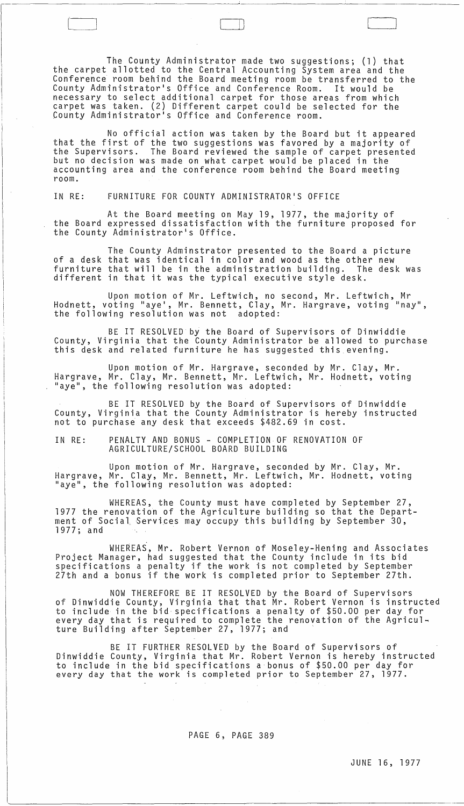The County Administrator made two suggestions; (1) that the carpet allotted to the Central Accounting System area and the Conference room behind the Board meeting room be transferred to the County Administrator's Office and Conference Room. It would be necessary to select additional carpet for those areas from which carpet was taken. (2) Different carpet could be selected for the County Administrator's Office and Conference room.

 $\Box$ 

No official action was taken by the Board but it appeared that the first of the two suggestions was favored by a majority of the Supervisors. The Board reviewed the sample of carpet presented but no decision was made on what carpet would be placed in the accounting area and the conference room behind the Board meeting room.

IN RE: FURNITURE FOR COUNTY ADMINISTRATOR'S OFFICE

At the Board meeting on May 19, 1977, the majority of the Board expressed dissatisfaction with the furniture proposed for the County Administrator's Office.

The County Adminstrator presented to the Board a picture of a desk that was identical in color and wood as the other new furniture that will be in the administration building. The desk was different in that it was the typical executive style desk.

Upon motion of Mr. Leftwich, no second, Mr. Leftwich, Mr Hodnett, voting "aye', Mr. Bennett, Clay, Mr. Hargrave, voting "nay", the following resolution was not adopted:

BE IT RESOLVED by the Board of Supervisors of Dinwiddie County, Virginia that the County Administrator be allowed to purchase this desk and related furniture he has suggested this evening.

Upon motion of Mr. Hargrave, seconded by Mr. Clay, Mr. Hargrave, Mr. Clay, Mr. Bennett, Mr. Leftwich, Mr. Hodnett, voting "aye", the following resolution was adopted:

BE IT RESOLVED by the Board of Supervisors of Dinwiddie County, Virginia that the County Administrator is hereby instructed not to purchase any desk that exceeds \$482.69 in cost.

IN RE: PENALTY AND BONUS - COMPLETION OF RENOVATION OF AGRICULTURE/SCHOOL BOARD BUILDING

Upon motion of Mr. Hargrave, seconded by Mr. Clay, Mr. Hargrave, Mr. Clay, Mr. Bennett, Mr. Leftwich, Mr. Hodnett, voting "aye", the following resolution was adopted:

WHEREAS, the County must have completed by September 27, 1977 the renovation of the Agriculture building so that the Department of Social Services may occupy this building by September 30,<br>1977; and

WHEREAS, Mr. Robert Vernon of Moseley-Hening and Associates Project Manager, had suggested that the County include in its bid specifications a penalty if the work is not completed by September 27th and a bonus if the work is completed prior to September 27th.

NOW THEREFORE BE IT RESOLVED by the Board of Supervisors of Dinwiddie County, Virginia that that Mr. Robert Vernon is instructed to include in the bid specifications a penalty of \$50.00 per day for every day that is required to complete the renovation of the Agriculture Building after September 27, 1977; and '

BE IT FURTHER RESOLVED by the Board of Supervisors of Dinwiddie County, Virginia that Mr. Robert Vernon is hereby instructed to include in the bid specifications a bonus of \$50.00 per day for every day that the work is completed prior to September 27, 1977.

## PAGE 6, PAGE 389